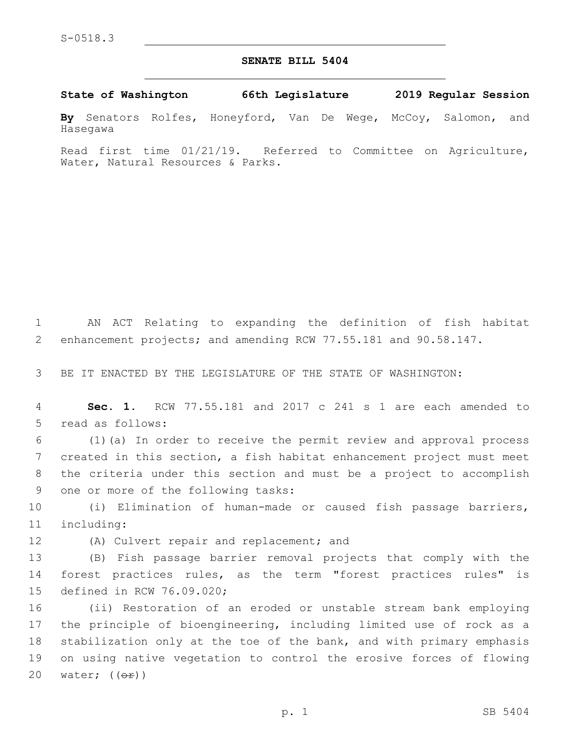## **SENATE BILL 5404**

**State of Washington 66th Legislature 2019 Regular Session**

**By** Senators Rolfes, Honeyford, Van De Wege, McCoy, Salomon, and Hasegawa

Read first time 01/21/19. Referred to Committee on Agriculture, Water, Natural Resources & Parks.

1 AN ACT Relating to expanding the definition of fish habitat 2 enhancement projects; and amending RCW 77.55.181 and 90.58.147.

3 BE IT ENACTED BY THE LEGISLATURE OF THE STATE OF WASHINGTON:

4 **Sec. 1.** RCW 77.55.181 and 2017 c 241 s 1 are each amended to 5 read as follows:

 (1)(a) In order to receive the permit review and approval process created in this section, a fish habitat enhancement project must meet the criteria under this section and must be a project to accomplish 9 one or more of the following tasks:

10 (i) Elimination of human-made or caused fish passage barriers, 11 including:

12 (A) Culvert repair and replacement; and

13 (B) Fish passage barrier removal projects that comply with the 14 forest practices rules, as the term "forest practices rules" is 15 defined in RCW 76.09.020;

 (ii) Restoration of an eroded or unstable stream bank employing the principle of bioengineering, including limited use of rock as a stabilization only at the toe of the bank, and with primary emphasis on using native vegetation to control the erosive forces of flowing 20 water;  $((\theta \oplus f))$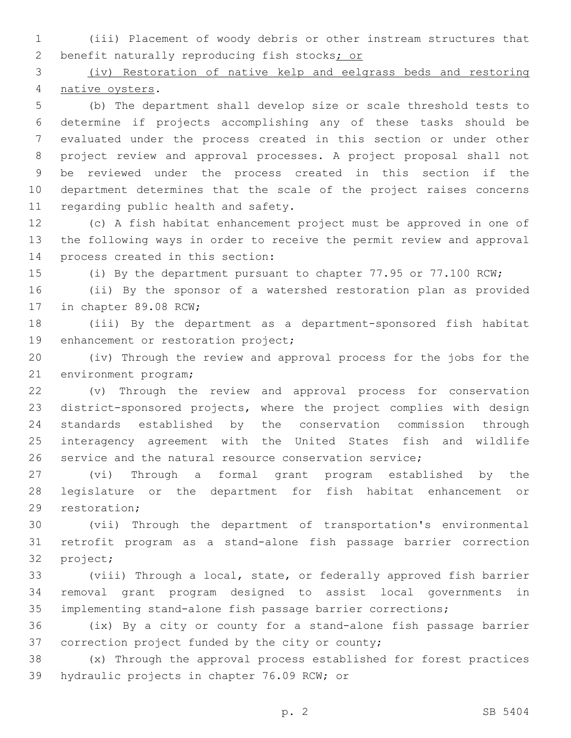(iii) Placement of woody debris or other instream structures that 2 benefit naturally reproducing fish stocks; or

 (iv) Restoration of native kelp and eelgrass beds and restoring 4 native oysters.

 (b) The department shall develop size or scale threshold tests to determine if projects accomplishing any of these tasks should be evaluated under the process created in this section or under other project review and approval processes. A project proposal shall not be reviewed under the process created in this section if the department determines that the scale of the project raises concerns 11 regarding public health and safety.

 (c) A fish habitat enhancement project must be approved in one of the following ways in order to receive the permit review and approval 14 process created in this section:

(i) By the department pursuant to chapter 77.95 or 77.100 RCW;

 (ii) By the sponsor of a watershed restoration plan as provided 17 in chapter 89.08 RCW;

 (iii) By the department as a department-sponsored fish habitat 19 enhancement or restoration project;

 (iv) Through the review and approval process for the jobs for the 21 environment program;

 (v) Through the review and approval process for conservation district-sponsored projects, where the project complies with design standards established by the conservation commission through interagency agreement with the United States fish and wildlife service and the natural resource conservation service;

 (vi) Through a formal grant program established by the legislature or the department for fish habitat enhancement or 29 restoration;

 (vii) Through the department of transportation's environmental retrofit program as a stand-alone fish passage barrier correction 32 project;

 (viii) Through a local, state, or federally approved fish barrier removal grant program designed to assist local governments in implementing stand-alone fish passage barrier corrections;

 (ix) By a city or county for a stand-alone fish passage barrier 37 correction project funded by the city or county;

 (x) Through the approval process established for forest practices 39 hydraulic projects in chapter 76.09 RCW; or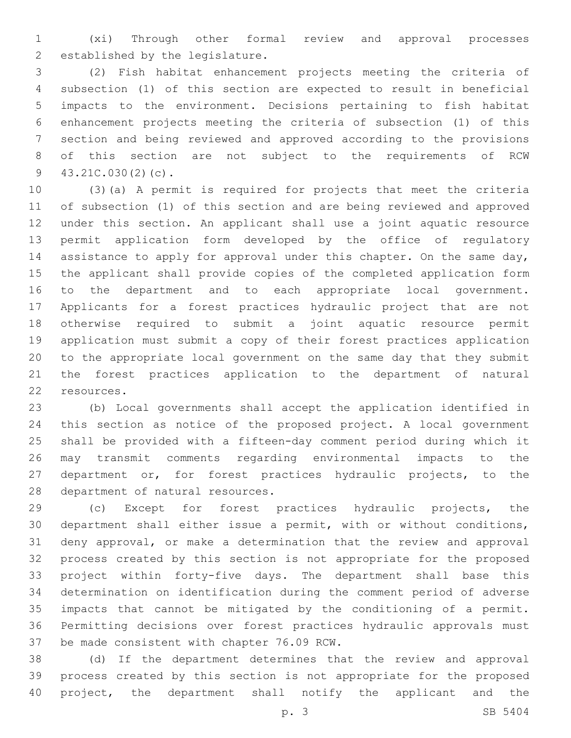(xi) Through other formal review and approval processes 2 established by the legislature.

 (2) Fish habitat enhancement projects meeting the criteria of subsection (1) of this section are expected to result in beneficial impacts to the environment. Decisions pertaining to fish habitat enhancement projects meeting the criteria of subsection (1) of this section and being reviewed and approved according to the provisions of this section are not subject to the requirements of RCW  $43.21C.030(2)(c)$ .

 (3)(a) A permit is required for projects that meet the criteria of subsection (1) of this section and are being reviewed and approved under this section. An applicant shall use a joint aquatic resource permit application form developed by the office of regulatory 14 assistance to apply for approval under this chapter. On the same day, the applicant shall provide copies of the completed application form to the department and to each appropriate local government. Applicants for a forest practices hydraulic project that are not otherwise required to submit a joint aquatic resource permit application must submit a copy of their forest practices application to the appropriate local government on the same day that they submit the forest practices application to the department of natural 22 resources.

 (b) Local governments shall accept the application identified in this section as notice of the proposed project. A local government shall be provided with a fifteen-day comment period during which it may transmit comments regarding environmental impacts to the department or, for forest practices hydraulic projects, to the 28 department of natural resources.

 (c) Except for forest practices hydraulic projects, the department shall either issue a permit, with or without conditions, deny approval, or make a determination that the review and approval process created by this section is not appropriate for the proposed project within forty-five days. The department shall base this determination on identification during the comment period of adverse impacts that cannot be mitigated by the conditioning of a permit. Permitting decisions over forest practices hydraulic approvals must 37 be made consistent with chapter 76.09 RCW.

 (d) If the department determines that the review and approval process created by this section is not appropriate for the proposed project, the department shall notify the applicant and the

p. 3 SB 5404